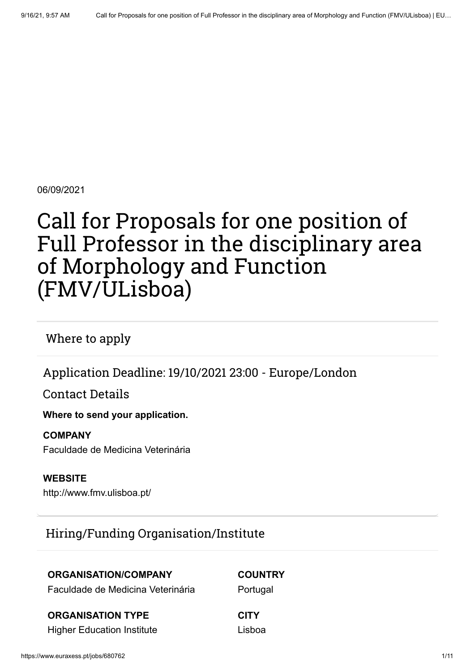06/09/2021

# Call for Proposals for one position of Full Professor in the disciplinary area of Morphology and Function (FMV/ULisboa)

Where to apply

Application Deadline: 19/10/2021 23:00 - Europe/London

Contact Details

**Where to send your application.**

#### **COMPANY**

Faculdade de Medicina Veterinária

**WEBSITE** <http://www.fmv.ulisboa.pt/>

### Hiring/Funding Organisation/Institute

### **ORGANISATION/COMPANY**

#### **COUNTRY**

**Portugal** 

Faculdade de Medicina Veterinária

#### **ORGANISATION TYPE**

Higher Education Institute

**CITY** Lisboa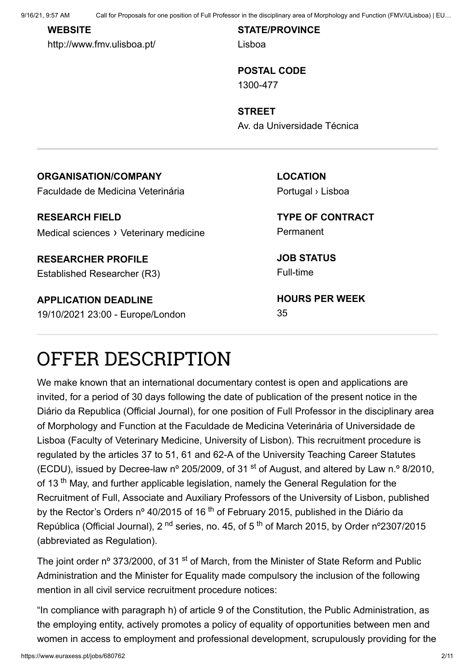9/16/21, 9:57 AM Call for Proposals for one position of Full Professor in the disciplinary area of Morphology and Function (FMV/ULisboa) | EU…

#### **WEBSITE**

<http://www.fmv.ulisboa.pt/>

**STATE/PROVINCE** Lisboa

**POSTAL CODE** 1300-477

**STREET** Av. da Universidade Técnica

#### **ORGANISATION/COMPANY**

Faculdade de Medicina Veterinária

**RESEARCH FIELD** Medical sciences › Veterinary medicine

**RESEARCHER PROFILE** Established Researcher (R3)

**APPLICATION DEADLINE** 19/10/2021 23:00 - Europe/London **LOCATION** Portugal › Lisboa

**TYPE OF CONTRACT** Permanent

**JOB STATUS** Full-time

**HOURS PER WEEK** 35

## OFFER DESCRIPTION

We make known that an international documentary contest is open and applications are invited, for a period of 30 days following the date of publication of the present notice in the Diário da Republica (Official Journal), for one position of Full Professor in the disciplinary area of Morphology and Function at the Faculdade de Medicina Veterinária of Universidade de Lisboa (Faculty of Veterinary Medicine, University of Lisbon). This recruitment procedure is regulated by the articles 37 to 51, 61 and 62-A of the University Teaching Career Statutes (ECDU), issued by Decree-law n° 205/2009, of 31  $\mathrm{^{st}}$  of August, and altered by Law n.° 8/2010, of 13<sup>th</sup> May, and further applicable legislation, namely the General Regulation for the Recruitment of Full, Associate and Auxiliary Professors of the University of Lisbon, published by the Rector's Orders nº 40/2015 of 16 <sup>th</sup> of February 2015, published in the Diário da República (Official Journal), 2 <sup>nd</sup> series, no. 45, of 5 <sup>th</sup> of March 2015, by Order n°2307/2015 (abbreviated as Regulation).

The joint order nº 373/2000, of 31 <sup>st</sup> of March, from the Minister of State Reform and Public Administration and the Minister for Equality made compulsory the inclusion of the following mention in all civil service recruitment procedure notices:

"In compliance with paragraph h) of article 9 of the Constitution, the Public Administration, as the employing entity, actively promotes a policy of equality of opportunities between men and women in access to employment and professional development, scrupulously providing for the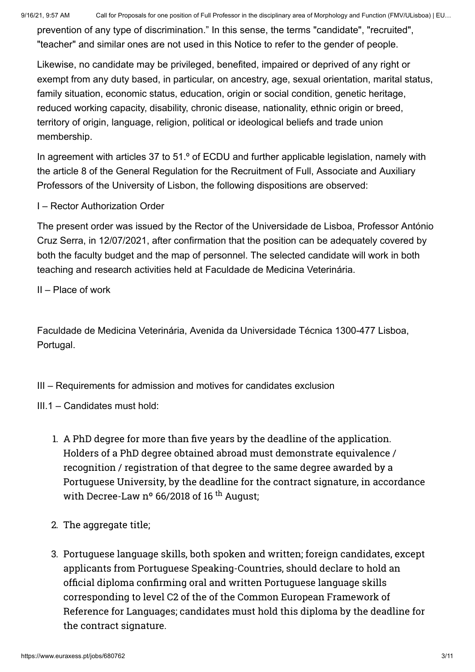prevention of any type of discrimination." In this sense, the terms "candidate", "recruited", "teacher" and similar ones are not used in this Notice to refer to the gender of people.

Likewise, no candidate may be privileged, benefited, impaired or deprived of any right or exempt from any duty based, in particular, on ancestry, age, sexual orientation, marital status, family situation, economic status, education, origin or social condition, genetic heritage, reduced working capacity, disability, chronic disease, nationality, ethnic origin or breed, territory of origin, language, religion, political or ideological beliefs and trade union membership.

In agreement with articles 37 to 51.<sup>o</sup> of ECDU and further applicable legislation, namely with the article 8 of the General Regulation for the Recruitment of Full, Associate and Auxiliary Professors of the University of Lisbon, the following dispositions are observed:

I – Rector Authorization Order

The present order was issued by the Rector of the Universidade de Lisboa, Professor António Cruz Serra, in 12/07/2021, after confirmation that the position can be adequately covered by both the faculty budget and the map of personnel. The selected candidate will work in both teaching and research activities held at Faculdade de Medicina Veterinária.

II – Place of work

Faculdade de Medicina Veterinária, Avenida da Universidade Técnica 1300-477 Lisboa, Portugal.

III – Requirements for admission and motives for candidates exclusion

- III.1 Candidates must hold:
	- 1. A PhD degree for more than five years by the deadline of the application. Holders of a PhD degree obtained abroad must demonstrate equivalence / recognition / registration of that degree to the same degree awarded by a Portuguese University, by the deadline for the contract signature, in accordance with Decree-Law  $n^{\circ}$  66/2018 of 16<sup>th</sup> August;
	- 2. The aggregate title;
	- 3. Portuguese language skills, both spoken and written; foreign candidates, except applicants from Portuguese Speaking-Countries, should declare to hold an official diploma confirming oral and written Portuguese language skills corresponding to level C2 of the of the Common European Framework of Reference for Languages; candidates must hold this diploma by the deadline for the contract signature.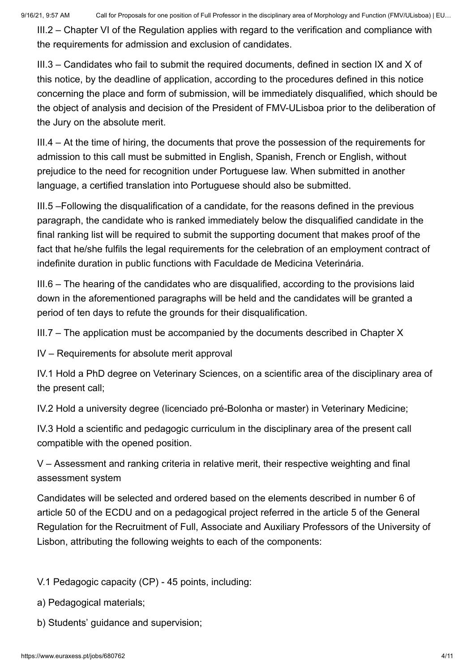III.2 – Chapter VI of the Regulation applies with regard to the verification and compliance with the requirements for admission and exclusion of candidates.

III.3 – Candidates who fail to submit the required documents, defined in section IX and X of this notice, by the deadline of application, according to the procedures defined in this notice concerning the place and form of submission, will be immediately disqualified, which should be the object of analysis and decision of the President of FMV-ULisboa prior to the deliberation of the Jury on the absolute merit.

III.4 – At the time of hiring, the documents that prove the possession of the requirements for admission to this call must be submitted in English, Spanish, French or English, without prejudice to the need for recognition under Portuguese law. When submitted in another language, a certified translation into Portuguese should also be submitted.

III.5 –Following the disqualification of a candidate, for the reasons defined in the previous paragraph, the candidate who is ranked immediately below the disqualified candidate in the final ranking list will be required to submit the supporting document that makes proof of the fact that he/she fulfils the legal requirements for the celebration of an employment contract of indefinite duration in public functions with Faculdade de Medicina Veterinária.

III.6 – The hearing of the candidates who are disqualified, according to the provisions laid down in the aforementioned paragraphs will be held and the candidates will be granted a period of ten days to refute the grounds for their disqualification.

III.7 – The application must be accompanied by the documents described in Chapter X

IV – Requirements for absolute merit approval

IV.1 Hold a PhD degree on Veterinary Sciences, on a scientific area of the disciplinary area of the present call;

IV.2 Hold a university degree (licenciado pré-Bolonha or master) in Veterinary Medicine;

IV.3 Hold a scientific and pedagogic curriculum in the disciplinary area of the present call compatible with the opened position.

V – Assessment and ranking criteria in relative merit, their respective weighting and final assessment system

Candidates will be selected and ordered based on the elements described in number 6 of article 50 of the ECDU and on a pedagogical project referred in the article 5 of the General Regulation for the Recruitment of Full, Associate and Auxiliary Professors of the University of Lisbon, attributing the following weights to each of the components:

V.1 Pedagogic capacity (CP) - 45 points, including:

- a) Pedagogical materials;
- b) Students' guidance and supervision;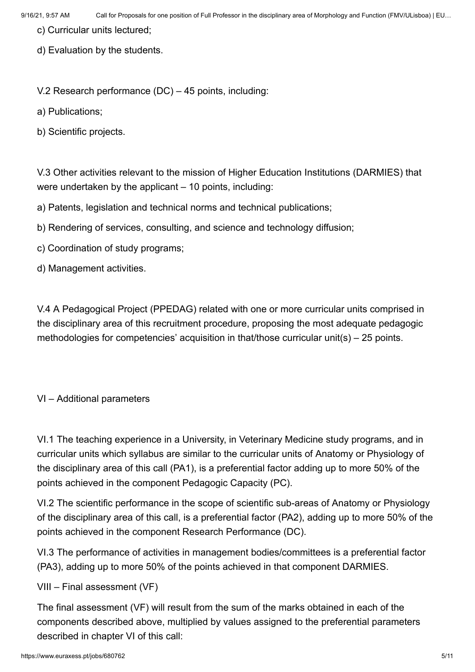- c) Curricular units lectured;
- d) Evaluation by the students.

V.2 Research performance (DC) – 45 points, including:

a) Publications;

b) Scientific projects.

V.3 Other activities relevant to the mission of Higher Education Institutions (DARMIES) that were undertaken by the applicant – 10 points, including:

a) Patents, legislation and technical norms and technical publications;

- b) Rendering of services, consulting, and science and technology diffusion;
- c) Coordination of study programs;
- d) Management activities.

V.4 A Pedagogical Project (PPEDAG) related with one or more curricular units comprised in the disciplinary area of this recruitment procedure, proposing the most adequate pedagogic methodologies for competencies' acquisition in that/those curricular unit(s) – 25 points.

#### VI – Additional parameters

VI.1 The teaching experience in a University, in Veterinary Medicine study programs, and in curricular units which syllabus are similar to the curricular units of Anatomy or Physiology of the disciplinary area of this call (PA1), is a preferential factor adding up to more 50% of the points achieved in the component Pedagogic Capacity (PC).

VI.2 The scientific performance in the scope of scientific sub-areas of Anatomy or Physiology of the disciplinary area of this call, is a preferential factor (PA2), adding up to more 50% of the points achieved in the component Research Performance (DC).

VI.3 The performance of activities in management bodies/committees is a preferential factor (PA3), adding up to more 50% of the points achieved in that component DARMIES.

VIII – Final assessment (VF)

The final assessment (VF) will result from the sum of the marks obtained in each of the components described above, multiplied by values assigned to the preferential parameters described in chapter VI of this call: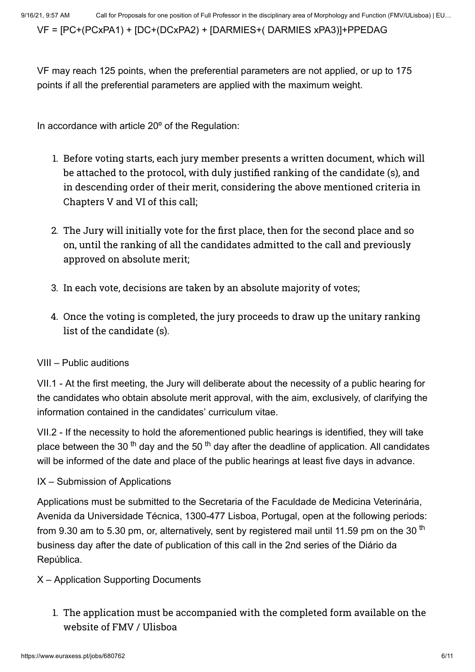VF = [PC+(PCxPA1) + [DC+(DCxPA2) + [DARMIES+( DARMIES xPA3)]+PPEDAG

VF may reach 125 points, when the preferential parameters are not applied, or up to 175 points if all the preferential parameters are applied with the maximum weight.

In accordance with article 20º of the Regulation:

- 1. Before voting starts, each jury member presents a written document, which will be attached to the protocol, with duly justified ranking of the candidate (s), and in descending order of their merit, considering the above mentioned criteria in Chapters V and VI of this call;
- 2. The Jury will initially vote for the first place, then for the second place and so on, until the ranking of all the candidates admitted to the call and previously approved on absolute merit;
- 3. In each vote, decisions are taken by an absolute majority of votes;
- 4. Once the voting is completed, the jury proceeds to draw up the unitary ranking list of the candidate (s).

#### VIII – Public auditions

VII.1 - At the first meeting, the Jury will deliberate about the necessity of a public hearing for the candidates who obtain absolute merit approval, with the aim, exclusively, of clarifying the information contained in the candidates' curriculum vitae.

VII.2 - If the necessity to hold the aforementioned public hearings is identified, they will take place between the 30 <sup>th</sup> day and the 50 <sup>th</sup> day after the deadline of application. All candidates will be informed of the date and place of the public hearings at least five days in advance.

#### IX – Submission of Applications

Applications must be submitted to the Secretaria of the Faculdade de Medicina Veterinária, Avenida da Universidade Técnica, 1300-477 Lisboa, Portugal, open at the following periods: from 9.30 am to 5.30 pm, or, alternatively, sent by registered mail until 11.59 pm on the 30 <sup>th</sup> business day after the date of publication of this call in the 2nd series of the Diário da República.

#### X – Application Supporting Documents

1. The application must be accompanied with the completed form available on the website of FMV / Ulisboa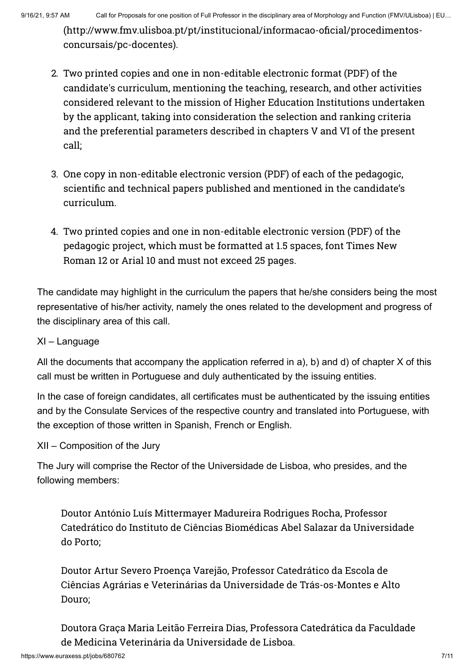[\(http://www.fmv.ulisboa.pt/pt/institucional/informacao-oficial/procedimentos](http://www.fmv.ulisboa.pt/pt/institucional/informacao-oficial/procedimentos-concursais/pc-docentes)concursais/pc-docentes).

- 2. Two printed copies and one in non-editable electronic format (PDF) of the candidate's curriculum, mentioning the teaching, research, and other activities considered relevant to the mission of Higher Education Institutions undertaken by the applicant, taking into consideration the selection and ranking criteria and the preferential parameters described in chapters V and VI of the present call;
- 3. One copy in non-editable electronic version (PDF) of each of the pedagogic, scientific and technical papers published and mentioned in the candidate's curriculum.
- 4. Two printed copies and one in non-editable electronic version (PDF) of the pedagogic project, which must be formatted at 1.5 spaces, font Times New Roman 12 or Arial 10 and must not exceed 25 pages.

The candidate may highlight in the curriculum the papers that he/she considers being the most representative of his/her activity, namely the ones related to the development and progress of the disciplinary area of this call.

#### XI – Language

All the documents that accompany the application referred in a), b) and d) of chapter X of this call must be written in Portuguese and duly authenticated by the issuing entities.

In the case of foreign candidates, all certificates must be authenticated by the issuing entities and by the Consulate Services of the respective country and translated into Portuguese, with the exception of those written in Spanish, French or English.

#### XII – Composition of the Jury

The Jury will comprise the Rector of the Universidade de Lisboa, who presides, and the following members:

Doutor António Luís Mittermayer Madureira Rodrigues Rocha, Professor Catedrático do Instituto de Ciências Biomédicas Abel Salazar da Universidade do Porto;

Doutor Artur Severo Proença Varejão, Professor Catedrático da Escola de Ciências Agrárias e Veterinárias da Universidade de Trás-os-Montes e Alto Douro;

Doutora Graça Maria Leitão Ferreira Dias, Professora Catedrática da Faculdade de Medicina Veterinária da Universidade de Lisboa.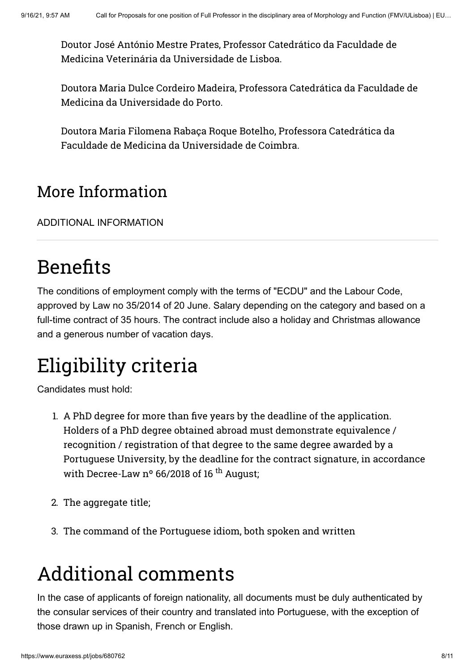Doutor José António Mestre Prates, Professor Catedrático da Faculdade de Medicina Veterinária da Universidade de Lisboa.

Doutora Maria Dulce Cordeiro Madeira, Professora Catedrática da Faculdade de Medicina da Universidade do Porto.

Doutora Maria Filomena Rabaça Roque Botelho, Professora Catedrática da Faculdade de Medicina da Universidade de Coimbra.

### More Information

[ADDITIONAL INFORMATION](#page-7-0)

# <span id="page-7-0"></span>Benefits

The conditions of employment comply with the terms of "ECDU" and the Labour Code, approved by Law no 35/2014 of 20 June. Salary depending on the category and based on a full-time contract of 35 hours. The contract include also a holiday and Christmas allowance and a generous number of vacation days.

# Eligibility criteria

Candidates must hold:

- 1. A PhD degree for more than five years by the deadline of the application. Holders of a PhD degree obtained abroad must demonstrate equivalence / recognition / registration of that degree to the same degree awarded by a Portuguese University, by the deadline for the contract signature, in accordance with Decree-Law  $n^o$  66/2018 of 16<sup>th</sup> August:
- 2. The aggregate title;
- 3. The command of the Portuguese idiom, both spoken and written

# Additional comments

In the case of applicants of foreign nationality, all documents must be duly authenticated by the consular services of their country and translated into Portuguese, with the exception of those drawn up in Spanish, French or English.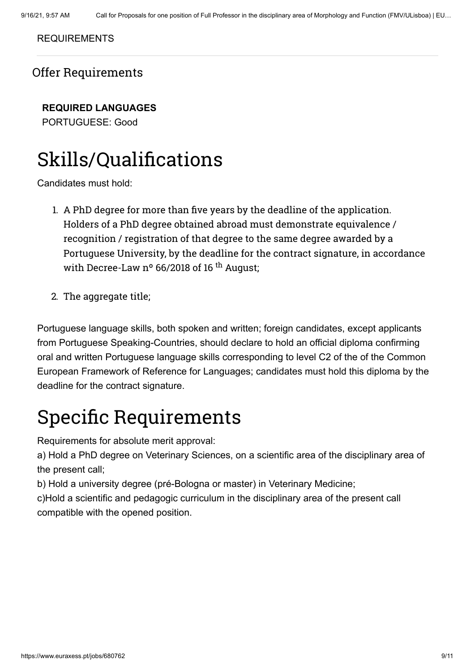#### [REQUIREMENTS](#page-8-0)

### <span id="page-8-0"></span>Offer Requirements

**REQUIRED LANGUAGES**

PORTUGUESE: Good

### Skills/Qualifications

Candidates must hold:

- 1. A PhD degree for more than five years by the deadline of the application. Holders of a PhD degree obtained abroad must demonstrate equivalence / recognition / registration of that degree to the same degree awarded by a Portuguese University, by the deadline for the contract signature, in accordance with Decree-Law  $n^{\circ}$  66/2018 of 16<sup>th</sup> August;
- 2. The aggregate title;

Portuguese language skills, both spoken and written; foreign candidates, except applicants from Portuguese Speaking-Countries, should declare to hold an official diploma confirming oral and written Portuguese language skills corresponding to level C2 of the of the Common European Framework of Reference for Languages; candidates must hold this diploma by the deadline for the contract signature.

## Specific Requirements

Requirements for absolute merit approval:

a) Hold a PhD degree on Veterinary Sciences, on a scientific area of the disciplinary area of the present call;

b) Hold a university degree (pré-Bologna or master) in Veterinary Medicine;

c)Hold a scientific and pedagogic curriculum in the disciplinary area of the present call compatible with the opened position.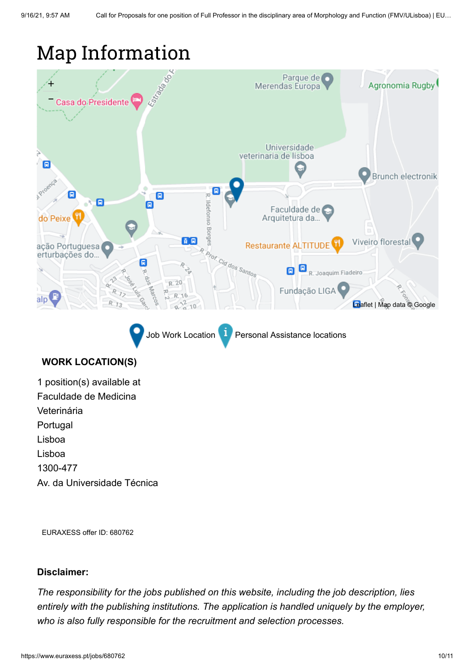### Map Information



Job Work Location **Personal Assistance locations** 

#### **WORK LOCATION(S)**

1 position(s) available at Faculdade de Medicina Veterinária Portugal Lisboa Lisboa 1300-477 Av. da Universidade Técnica

EURAXESS offer ID: 680762

#### **Disclaimer:**

*The responsibility for the jobs published on this website, including the job description, lies entirely with the publishing institutions. The application is handled uniquely by the employer, who is also fully responsible for the recruitment and selection processes.*